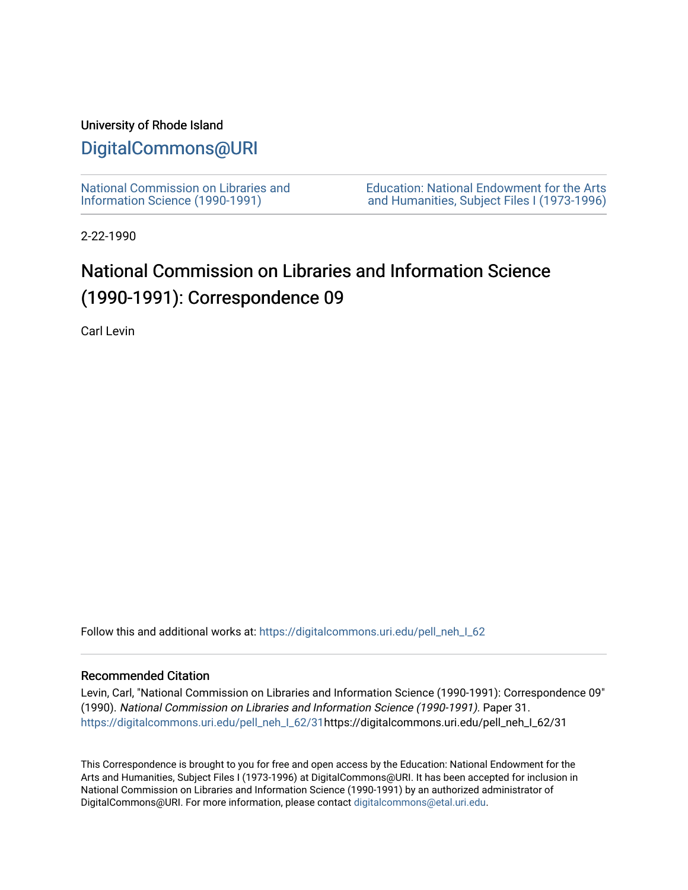## University of Rhode Island

# [DigitalCommons@URI](https://digitalcommons.uri.edu/)

[National Commission on Libraries and](https://digitalcommons.uri.edu/pell_neh_I_62) [Information Science \(1990-1991\)](https://digitalcommons.uri.edu/pell_neh_I_62) 

[Education: National Endowment for the Arts](https://digitalcommons.uri.edu/pell_neh_I)  [and Humanities, Subject Files I \(1973-1996\)](https://digitalcommons.uri.edu/pell_neh_I) 

2-22-1990

# National Commission on Libraries and Information Science (1990-1991): Correspondence 09

Carl Levin

Follow this and additional works at: https://digitalcommons.uri.edu/pell\_neh\_I\_62

### Recommended Citation

Levin, Carl, "National Commission on Libraries and Information Science (1990-1991): Correspondence 09" (1990). National Commission on Libraries and Information Science (1990-1991). Paper 31. [https://digitalcommons.uri.edu/pell\\_neh\\_I\\_62/31h](https://digitalcommons.uri.edu/pell_neh_I_62/31?utm_source=digitalcommons.uri.edu%2Fpell_neh_I_62%2F31&utm_medium=PDF&utm_campaign=PDFCoverPages)ttps://digitalcommons.uri.edu/pell\_neh\_I\_62/31

This Correspondence is brought to you for free and open access by the Education: National Endowment for the Arts and Humanities, Subject Files I (1973-1996) at DigitalCommons@URI. It has been accepted for inclusion in National Commission on Libraries and Information Science (1990-1991) by an authorized administrator of DigitalCommons@URI. For more information, please contact [digitalcommons@etal.uri.edu.](mailto:digitalcommons@etal.uri.edu)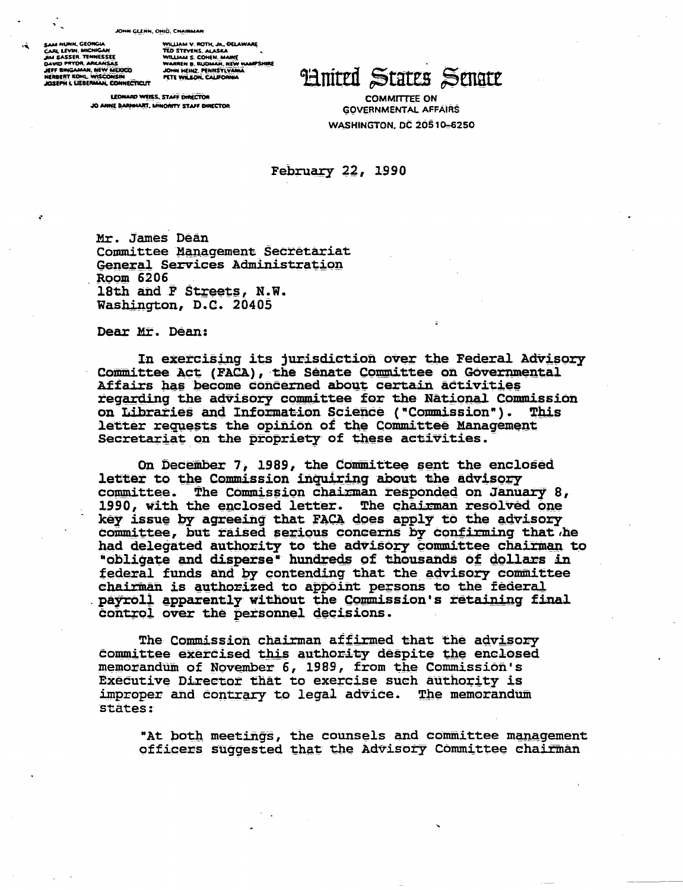#### JOHN GLENN, OHIO, CHAIRMAN

SAM NUNN, GEORGIA SAM NUNN, NICHIGAN<br>JAN SASSER, TENNESSEE<br>JAN SASSER, TENNESSEE<br>JEFF BINGAMAN, NEW MEDICO HERBERT KOHL, WISCONSIN<br>JOSEPH I, LIEBERMAN, CONNECTICUT WILLIAM V. ROTH, JR., OELAWARE.<br>TED STEVENS, ALASKA TED STEVENS, ALASKA<br>WILLIAM S. CONEN, MANIE<br>WARREN B. RUDMAN, NEW HAMPSHIRE<br>JOHN HEINZ, PENNSYLVAMA PETE WILSON, CALIFORNIA

LEONARD WEISS, STAFF DIRECTOR JO AMME BARMIART MINORITY CTACE DIRECTOR

**Hnited States Senate** 

**COMMITTEE ON GOVERNMENTAL AFFAIRS WASHINGTON, DC 20510-6250** 

February 22, 1990

Mr. James Dean Committee Management Secretariat General Services Administration Room 6206 18th and F Streets, N.W. Washington, D.C. 20405

Dear Mr. Dean:

In exercising its jurisdiction over the Federal Advisory Committee Act (FACA), the Senate Committee on Governmental Affairs has become concerned about certain activities regarding the advisory committee for the National Commission on Libraries and Information Science ("Commission"). This letter requests the opinion of the Committee Management Secretariat on the propriety of these activities.

On December 7, 1989, the Committee sent the enclosed letter to the Commission inquiring about the advisory committee. The Commission chairman responded on January 8, 1990, with the enclosed letter. The chairman resolved one key issue by agreeing that FACA does apply to the advisory committee, but raised serious concerns by confirming that he had delegated authority to the advisory committee chairman to "obligate and disperse" hundreds of thousands of dollars in federal funds and by contending that the advisory committee chairman is authorized to appoint persons to the federal payroll apparently without the Commission's retaining final control over the personnel decisions.

The Commission chairman affirmed that the advisory committee exercised this authority despite the enclosed memorandum of November 6, 1989, from the Commission's Executive Director that to exercise such authority is improper and contrary to legal advice. The memorandum states:

"At both meetings, the counsels and committee management officers suggested that the Advisory Committee chairman